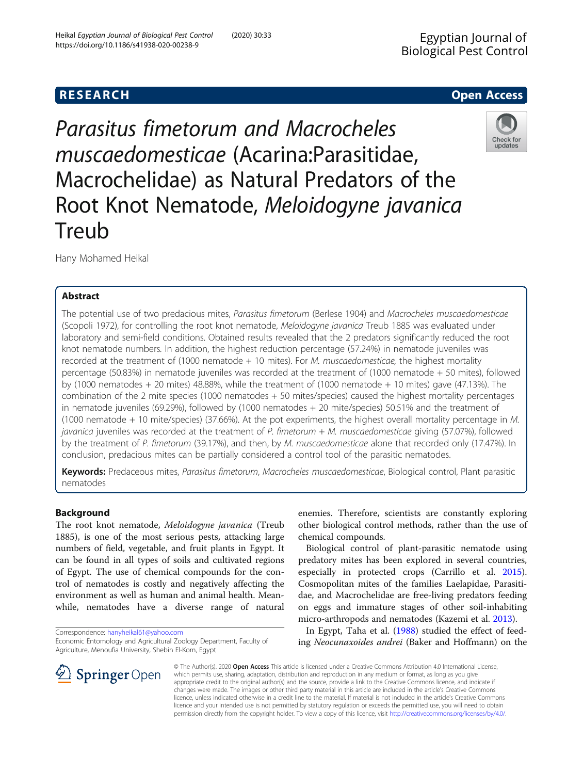Heikal Egyptian Journal of Biological Pest Control (2020) 30:33

# **RESEARCH CHE Open Access**



Parasitus fimetorum and Macrocheles muscaedomesticae (Acarina:Parasitidae, Macrochelidae) as Natural Predators of the Root Knot Nematode, Meloidogyne javanica Treub

Hany Mohamed Heikal

## Abstract

The potential use of two predacious mites, Parasitus fimetorum (Berlese 1904) and Macrocheles muscaedomesticae (Scopoli 1972), for controlling the root knot nematode, Meloidogyne javanica Treub 1885 was evaluated under laboratory and semi-field conditions. Obtained results revealed that the 2 predators significantly reduced the root knot nematode numbers. In addition, the highest reduction percentage (57.24%) in nematode juveniles was recorded at the treatment of (1000 nematode  $+10$  mites). For M. muscaedomesticae, the highest mortality percentage (50.83%) in nematode juveniles was recorded at the treatment of (1000 nematode + 50 mites), followed by (1000 nematodes  $+$  20 mites) 48.88%, while the treatment of (1000 nematode  $+$  10 mites) gave (47.13%). The combination of the 2 mite species (1000 nematodes + 50 mites/species) caused the highest mortality percentages in nematode juveniles (69.29%), followed by (1000 nematodes + 20 mite/species) 50.51% and the treatment of (1000 nematode + 10 mite/species) (37.66%). At the pot experiments, the highest overall mortality percentage in M. javanica juveniles was recorded at the treatment of P. fimetorum  $+ M$ . muscaedomesticae giving (57.07%), followed by the treatment of P. fimetorum (39.17%), and then, by M. muscaedomesticae alone that recorded only (17.47%). In conclusion, predacious mites can be partially considered a control tool of the parasitic nematodes.

Keywords: Predaceous mites, Parasitus fimetorum, Macrocheles muscaedomesticae, Biological control, Plant parasitic nematodes

## Background

The root knot nematode, Meloidogyne javanica (Treub 1885), is one of the most serious pests, attacking large numbers of field, vegetable, and fruit plants in Egypt. It can be found in all types of soils and cultivated regions of Egypt. The use of chemical compounds for the control of nematodes is costly and negatively affecting the environment as well as human and animal health. Meanwhile, nematodes have a diverse range of natural

Correspondence: [hanyheikal61@yahoo.com](mailto:hanyheikal61@yahoo.com)

SpringerOpen

Economic Entomology and Agricultural Zoology Department, Faculty of Agriculture, Menoufia University, Shebin El-Kom, Egypt



Biological control of plant-parasitic nematode using predatory mites has been explored in several countries, especially in protected crops (Carrillo et al. [2015](#page-6-0)). Cosmopolitan mites of the families Laelapidae, Parasitidae, and Macrochelidae are free-living predators feeding on eggs and immature stages of other soil-inhabiting micro-arthropods and nematodes (Kazemi et al. [2013\)](#page-6-0).

In Egypt, Taha et al. ([1988\)](#page-6-0) studied the effect of feeding Neocunaxoides andrei (Baker and Hoffmann) on the

© The Author(s). 2020 Open Access This article is licensed under a Creative Commons Attribution 4.0 International License, which permits use, sharing, adaptation, distribution and reproduction in any medium or format, as long as you give appropriate credit to the original author(s) and the source, provide a link to the Creative Commons licence, and indicate if changes were made. The images or other third party material in this article are included in the article's Creative Commons licence, unless indicated otherwise in a credit line to the material. If material is not included in the article's Creative Commons licence and your intended use is not permitted by statutory regulation or exceeds the permitted use, you will need to obtain permission directly from the copyright holder. To view a copy of this licence, visit <http://creativecommons.org/licenses/by/4.0/>.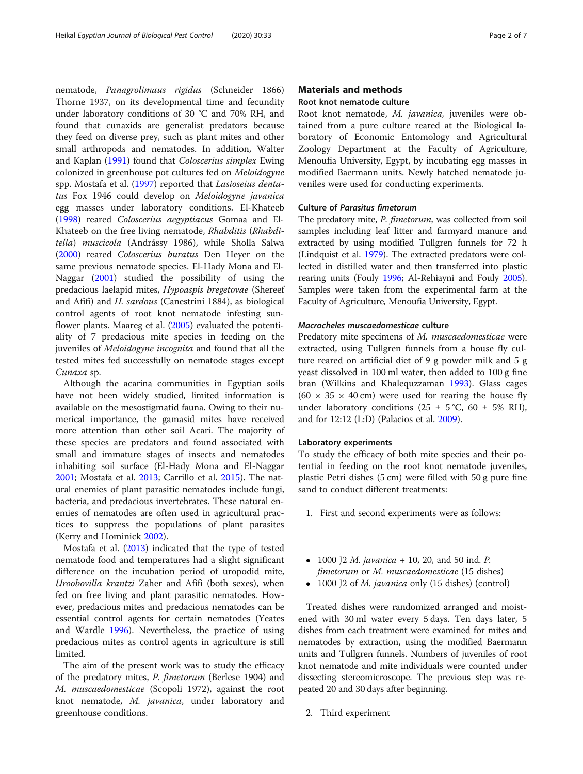nematode, Panagrolimaus rigidus (Schneider 1866) Thorne 1937, on its developmental time and fecundity under laboratory conditions of 30 °C and 70% RH, and found that cunaxids are generalist predators because they feed on diverse prey, such as plant mites and other small arthropods and nematodes. In addition, Walter and Kaplan ([1991\)](#page-6-0) found that Coloscerius simplex Ewing colonized in greenhouse pot cultures fed on Meloidogyne spp. Mostafa et al. ([1997](#page-6-0)) reported that Lasioseius dentatus Fox 1946 could develop on Meloidogyne javanica egg masses under laboratory conditions. El-Khateeb ([1998](#page-6-0)) reared Coloscerius aegyptiacus Gomaa and El-Khateeb on the free living nematode, Rhabditis (Rhabditella) muscicola (Andrássy 1986), while Sholla Salwa ([2000](#page-6-0)) reared Coloscerius buratus Den Heyer on the same previous nematode species. El-Hady Mona and El-Naggar ([2001](#page-6-0)) studied the possibility of using the predacious laelapid mites, Hypoaspis bregetovae (Shereef and Afifi) and H. sardous (Canestrini 1884), as biological control agents of root knot nematode infesting sunflower plants. Maareg et al. ([2005](#page-6-0)) evaluated the potentiality of 7 predacious mite species in feeding on the juveniles of Meloidogyne incognita and found that all the tested mites fed successfully on nematode stages except Cunaxa sp.

Although the acarina communities in Egyptian soils have not been widely studied, limited information is available on the mesostigmatid fauna. Owing to their numerical importance, the gamasid mites have received more attention than other soil Acari. The majority of these species are predators and found associated with small and immature stages of insects and nematodes inhabiting soil surface (El-Hady Mona and El-Naggar [2001](#page-6-0); Mostafa et al. [2013;](#page-6-0) Carrillo et al. [2015](#page-6-0)). The natural enemies of plant parasitic nematodes include fungi, bacteria, and predacious invertebrates. These natural enemies of nematodes are often used in agricultural practices to suppress the populations of plant parasites (Kerry and Hominick [2002\)](#page-6-0).

Mostafa et al. ([2013\)](#page-6-0) indicated that the type of tested nematode food and temperatures had a slight significant difference on the incubation period of uropodid mite, Uroobovilla krantzi Zaher and Afifi (both sexes), when fed on free living and plant parasitic nematodes. However, predacious mites and predacious nematodes can be essential control agents for certain nematodes (Yeates and Wardle [1996](#page-6-0)). Nevertheless, the practice of using predacious mites as control agents in agriculture is still limited.

The aim of the present work was to study the efficacy of the predatory mites, P. fimetorum (Berlese 1904) and M. muscaedomesticae (Scopoli 1972), against the root knot nematode, M. javanica, under laboratory and greenhouse conditions.

### Materials and methods

## Root knot nematode culture

Root knot nematode, M. javanica, juveniles were obtained from a pure culture reared at the Biological laboratory of Economic Entomology and Agricultural Zoology Department at the Faculty of Agriculture, Menoufia University, Egypt, by incubating egg masses in modified Baermann units. Newly hatched nematode juveniles were used for conducting experiments.

## Culture of Parasitus fimetorum

The predatory mite, P. fimetorum, was collected from soil samples including leaf litter and farmyard manure and extracted by using modified Tullgren funnels for 72 h (Lindquist et al. [1979](#page-6-0)). The extracted predators were collected in distilled water and then transferred into plastic rearing units (Fouly [1996](#page-6-0); Al-Rehiayni and Fouly [2005](#page-5-0)). Samples were taken from the experimental farm at the Faculty of Agriculture, Menoufia University, Egypt.

## Macrocheles muscaedomesticae culture

Predatory mite specimens of M. muscaedomesticae were extracted, using Tullgren funnels from a house fly culture reared on artificial diet of 9 g powder milk and 5 g yeast dissolved in 100 ml water, then added to 100 g fine bran (Wilkins and Khalequzzaman [1993](#page-6-0)). Glass cages (60  $\times$  35  $\times$  40 cm) were used for rearing the house fly under laboratory conditions  $(25 \pm 5^{\circ}C, 60 \pm 5\% \text{ RH})$ , and for 12:12 (L:D) (Palacios et al. [2009](#page-6-0)).

#### Laboratory experiments

To study the efficacy of both mite species and their potential in feeding on the root knot nematode juveniles, plastic Petri dishes (5 cm) were filled with 50 g pure fine sand to conduct different treatments:

- 1. First and second experiments were as follows:
- 1000 J2 *M. javanica* + 10, 20, and 50 ind. *P.* fimetorum or M. muscaedomesticae (15 dishes)
- 1000 J2 of *M. javanica* only (15 dishes) (control)

Treated dishes were randomized arranged and moistened with 30 ml water every 5 days. Ten days later, 5 dishes from each treatment were examined for mites and nematodes by extraction, using the modified Baermann units and Tullgren funnels. Numbers of juveniles of root knot nematode and mite individuals were counted under dissecting stereomicroscope. The previous step was repeated 20 and 30 days after beginning.

2. Third experiment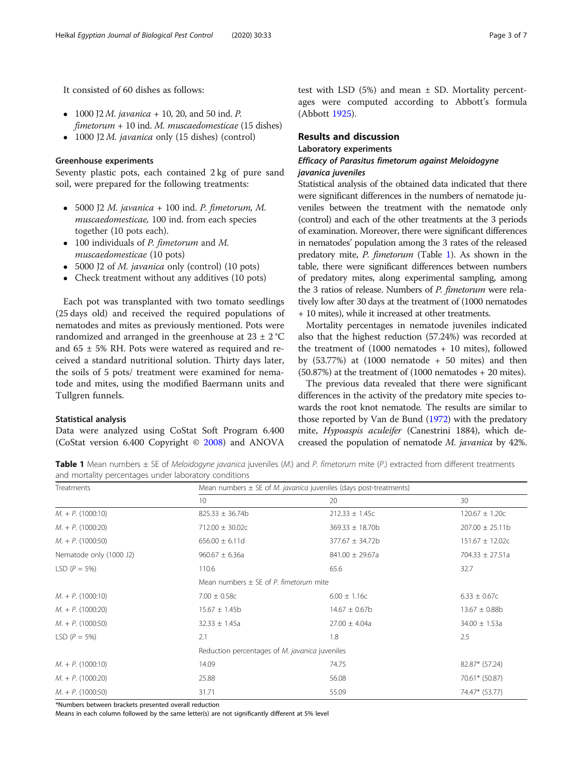- 1000 J2 *M. javanica* + 10, 20, and 50 ind. *P.*  $fimetorum + 10$  ind. M. muscaedomesticae (15 dishes)
- $\bullet$  1000 J2 *M. javanica* only (15 dishes) (control)

It consisted of 60 dishes as follows:

## Greenhouse experiments

Seventy plastic pots, each contained 2 kg of pure sand soil, were prepared for the following treatments:

- $\bullet$  5000 J2 M. javanica + 100 ind. P. fimetorum, M. muscaedomesticae, 100 ind. from each species together (10 pots each).
- 100 individuals of *P. fimetorum* and *M.* muscaedomesticae (10 pots)
- 5000 J2 of *M. javanica* only (control) (10 pots)
- Check treatment without any additives (10 pots)

Each pot was transplanted with two tomato seedlings (25 days old) and received the required populations of nematodes and mites as previously mentioned. Pots were randomized and arranged in the greenhouse at  $23 \pm 2$  °C and  $65 \pm 5\%$  RH. Pots were watered as required and received a standard nutritional solution. Thirty days later, the soils of 5 pots/ treatment were examined for nematode and mites, using the modified Baermann units and Tullgren funnels.

#### Statistical analysis

Data were analyzed using CoStat Soft Program 6.400 (CoStat version 6.400 Copyright © [2008\)](#page-6-0) and ANOVA test with LSD  $(5%)$  and mean  $\pm$  SD. Mortality percentages were computed according to Abbott's formula (Abbott [1925](#page-5-0)).

#### Results and discussion

## Laboratory experiments

## Efficacy of Parasitus fimetorum against Meloidogyne javanica juveniles

Statistical analysis of the obtained data indicated that there were significant differences in the numbers of nematode juveniles between the treatment with the nematode only (control) and each of the other treatments at the 3 periods of examination. Moreover, there were significant differences in nematodes' population among the 3 rates of the released predatory mite, P. fimetorum (Table 1). As shown in the table, there were significant differences between numbers of predatory mites, along experimental sampling, among the 3 ratios of release. Numbers of P. fimetorum were relatively low after 30 days at the treatment of (1000 nematodes + 10 mites), while it increased at other treatments.

Mortality percentages in nematode juveniles indicated also that the highest reduction (57.24%) was recorded at the treatment of (1000 nematodes + 10 mites), followed by  $(53.77%)$  at  $(1000$  nematode  $+50$  mites) and then (50.87%) at the treatment of (1000 nematodes + 20 mites).

The previous data revealed that there were significant differences in the activity of the predatory mite species towards the root knot nematode. The results are similar to those reported by Van de Bund [\(1972\)](#page-6-0) with the predatory mite, Hypoaspis aculeifer (Canestrini 1884), which decreased the population of nematode M. javanica by 42%.

Table 1 Mean numbers  $\pm$  SE of Meloidogyne javanica juveniles (M.) and P. fimetorum mite (P.) extracted from different treatments and mortality percentages under laboratory conditions

| Treatments                 | Mean numbers $\pm$ SE of <i>M. javanica</i> juveniles (days post-treatments) |                      |                     |  |
|----------------------------|------------------------------------------------------------------------------|----------------------|---------------------|--|
|                            | 10                                                                           | 20                   | 30                  |  |
| $M. + P. (1000:10)$        | $825.33 \pm 36.74b$                                                          | $212.33 \pm 1.45c$   | $120.67 \pm 1.20c$  |  |
| $M_{\cdot}$ + P. (1000:20) | $712.00 \pm 30.02c$                                                          | $369.33 \pm 18.70$ b | $207.00 \pm 25.11b$ |  |
| $M_{\cdot}$ + P. (1000:50) | $656.00 \pm 6.11d$                                                           | $377.67 \pm 34.72b$  | $151.67 \pm 12.02c$ |  |
| Nematode only (1000 J2)    | $960.67 \pm 6.36a$                                                           | $841.00 \pm 29.67a$  | $704.33 \pm 27.51a$ |  |
| LSD ( $P = 5\%$ )          | 110.6                                                                        | 65.6                 | 32.7                |  |
|                            | Mean numbers $+$ SF of P. fimetorum mite                                     |                      |                     |  |
| $M_{+}$ + P. (1000:10)     | $7.00 \pm 0.58c$                                                             | $6.00 \pm 1.16c$     | $6.33 \pm 0.67c$    |  |
| $M_{\cdot}$ + P. (1000:20) | $15.67 \pm 1.45b$                                                            | $14.67 \pm 0.67$ b   | $13.67 \pm 0.88$ b  |  |
| $M. + P. (1000:50)$        | $32.33 \pm 1.45a$                                                            | $27.00 \pm 4.04a$    | $34.00 \pm 1.53a$   |  |
| LSD ( $P = 5\%$ )          | 2.1                                                                          | 1.8                  | 2.5                 |  |
|                            | Reduction percentages of M. javanica juveniles                               |                      |                     |  |
| $M_{\cdot}$ + P. (1000:10) | 14.09                                                                        | 74.75                | 82.87* (57.24)      |  |
| $M_{+}$ + P. (1000:20)     | 25.88                                                                        | 56.08                | 70.61* (50.87)      |  |
| $M_{+}$ + P. (1000:50)     | 31.71                                                                        | 55.09                | 74.47* (53.77)      |  |

\*Numbers between brackets presented overall reduction

Means in each column followed by the same letter(s) are not significantly different at 5% level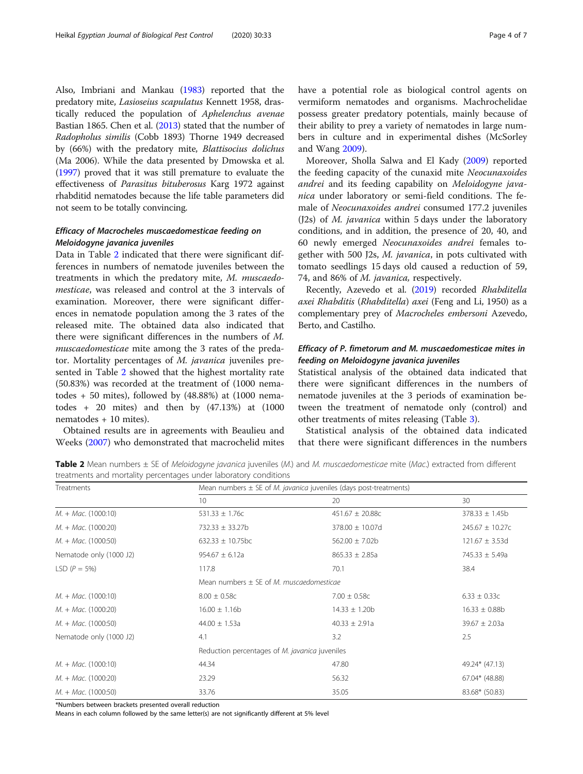Also, Imbriani and Mankau [\(1983](#page-6-0)) reported that the predatory mite, Lasioseius scapulatus Kennett 1958, drastically reduced the population of Aphelenchus avenae Bastian 1865. Chen et al. [\(2013\)](#page-6-0) stated that the number of Radopholus similis (Cobb 1893) Thorne 1949 decreased by (66%) with the predatory mite, Blattisocius dolichus (Ma 2006). While the data presented by Dmowska et al. ([1997](#page-6-0)) proved that it was still premature to evaluate the effectiveness of Parasitus bituberosus Karg 1972 against rhabditid nematodes because the life table parameters did not seem to be totally convincing.

## Efficacy of Macrocheles muscaedomesticae feeding on Meloidogyne javanica juveniles

Data in Table 2 indicated that there were significant differences in numbers of nematode juveniles between the treatments in which the predatory mite, M. muscaedomesticae, was released and control at the 3 intervals of examination. Moreover, there were significant differences in nematode population among the 3 rates of the released mite. The obtained data also indicated that there were significant differences in the numbers of M. muscaedomesticae mite among the 3 rates of the predator. Mortality percentages of M. javanica juveniles presented in Table 2 showed that the highest mortality rate (50.83%) was recorded at the treatment of (1000 nematodes  $+50$  mites), followed by  $(48.88%)$  at  $(1000$  nematodes  $+$  20 mites) and then by  $(47.13%)$  at  $(1000)$ nematodes + 10 mites).

Obtained results are in agreements with Beaulieu and Weeks [\(2007](#page-6-0)) who demonstrated that macrochelid mites vermiform nematodes and organisms. Machrochelidae possess greater predatory potentials, mainly because of their ability to prey a variety of nematodes in large numbers in culture and in experimental dishes (McSorley and Wang [2009\)](#page-6-0).

Moreover, Sholla Salwa and El Kady [\(2009](#page-6-0)) reported the feeding capacity of the cunaxid mite Neocunaxoides andrei and its feeding capability on Meloidogyne javanica under laboratory or semi-field conditions. The female of Neocunaxoides andrei consumed 177.2 juveniles (J2s) of M. javanica within 5 days under the laboratory conditions, and in addition, the presence of 20, 40, and 60 newly emerged Neocunaxoides andrei females together with 500 J2s, M. javanica, in pots cultivated with tomato seedlings 15 days old caused a reduction of 59, 74, and 86% of M. javanica, respectively.

Recently, Azevedo et al. ([2019\)](#page-5-0) recorded Rhabditella axei Rhabditis (Rhabditella) axei (Feng and Li, 1950) as a complementary prey of Macrocheles embersoni Azevedo, Berto, and Castilho.

## Efficacy of P. fimetorum and M. muscaedomesticae mites in feeding on Meloidogyne javanica juveniles

Statistical analysis of the obtained data indicated that there were significant differences in the numbers of nematode juveniles at the 3 periods of examination between the treatment of nematode only (control) and other treatments of mites releasing (Table [3\)](#page-4-0).

Statistical analysis of the obtained data indicated that there were significant differences in the numbers

Table 2 Mean numbers  $\pm$  SE of Meloidogyne javanica juveniles (M.) and M. muscaedomesticae mite (Mac.) extracted from different treatments and mortality percentages under laboratory conditions

| Treatments                          | Mean numbers $\pm$ SE of M. javanica juveniles (days post-treatments) |                      |                     |  |
|-------------------------------------|-----------------------------------------------------------------------|----------------------|---------------------|--|
|                                     | 10 <sup>°</sup>                                                       | 20                   | 30                  |  |
| $M_{+} + Mac.$ (1000:10)            | 531.33 $\pm$ 1.76c                                                    | $451.67 \pm 20.88c$  | $378.33 \pm 1.45b$  |  |
| $M_{\cdot} + Mac_{\cdot} (1000:20)$ | $732.33 \pm 33.27b$                                                   | $378.00 \pm 10.07$ d | $245.67 \pm 10.27c$ |  |
| $M_{\cdot} + Mac_{\cdot} (1000:50)$ | 632.33 $\pm$ 10.75bc                                                  | $562.00 \pm 7.02b$   | $121.67 \pm 3.53d$  |  |
| Nematode only (1000 J2)             | $954.67 \pm 6.12a$                                                    | $865.33 \pm 2.85a$   | 745.33 $\pm$ 5.49a  |  |
| LSD ( $P = 5\%$ )                   | 117.8                                                                 | 70.1                 | 38.4                |  |
|                                     | Mean numbers $\pm$ SE of M. muscaedomesticae                          |                      |                     |  |
| $M_{\cdot} + Mac_{\cdot} (1000:10)$ | $8.00 \pm 0.58c$                                                      | $7.00 \pm 0.58c$     | $6.33 \pm 0.33c$    |  |
| $M. + Mac. (1000:20)$               | $16.00 \pm 1.16b$                                                     | $14.33 \pm 1.20b$    | $16.33 \pm 0.88b$   |  |
| $M_{\cdot} + Mac_{\cdot} (1000:50)$ | $44.00 \pm 1.53a$                                                     | $40.33 \pm 2.91a$    | $39.67 \pm 2.03a$   |  |
| Nematode only (1000 J2)             | 4.1                                                                   | 3.2                  | 2.5                 |  |
|                                     | Reduction percentages of M. javanica juveniles                        |                      |                     |  |
| $M_{\cdot} + Mac_{\cdot} (1000:10)$ | 44.34                                                                 | 47.80                | 49.24* (47.13)      |  |
| $M_{\cdot} + Mac_{\cdot} (1000:20)$ | 23.29                                                                 | 56.32                | 67.04* (48.88)      |  |
| $M. + Mac. (1000:50)$               | 33.76                                                                 | 35.05                | 83.68* (50.83)      |  |

\*Numbers between brackets presented overall reduction

Means in each column followed by the same letter(s) are not significantly different at 5% level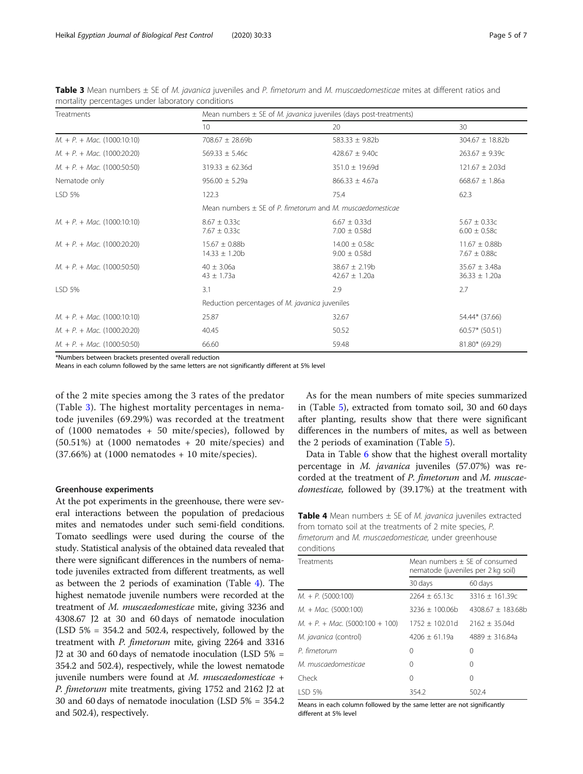| Treatments                                         | Mean numbers $\pm$ SE of <i>M. javanica</i> juveniles (days post-treatments) |                                        |                                        |  |
|----------------------------------------------------|------------------------------------------------------------------------------|----------------------------------------|----------------------------------------|--|
|                                                    | 10 <sup>°</sup>                                                              | 20                                     | 30                                     |  |
| $M. + P. + Mac. (1000:10:10)$                      | 708.67 $\pm$ 28.69b                                                          | 583.33 $\pm$ 9.82b                     | $304.67 \pm 18.82b$                    |  |
| $M_{1} + P_{1} + Mac.$ (1000:20:20)                | $569.33 \pm 5.46c$                                                           | 428.67 $\pm$ 9.40c                     | $263.67 \pm 9.39c$                     |  |
| $M. + P. + Mac. (1000:50:50)$                      | $319.33 \pm 62.36d$                                                          | 351.0 ± 19.69d                         | $121.67 \pm 2.03d$                     |  |
| Nematode only                                      | $956.00 \pm 5.29a$                                                           | $866.33 \pm 4.67a$                     | $668.67 \pm 1.86a$                     |  |
| LSD 5%                                             | 122.3                                                                        | 75.4                                   | 62.3                                   |  |
|                                                    | Mean numbers $\pm$ SE of P. fimetorum and M. muscaedomesticae                |                                        |                                        |  |
| $M_{+} + P_{+} + Mac.$ (1000:10:10)                | $8.67 \pm 0.33c$<br>$7.67 \pm 0.33c$                                         | $6.67 \pm 0.33$ d<br>$7.00 \pm 0.58$ d | $5.67 \pm 0.33c$<br>$6.00 \pm 0.58c$   |  |
| $M_{1} + P_{1} + Mac.$ (1000:20:20)                | $15.67 \pm 0.88b$<br>$14.33 \pm 1.20b$                                       | $14.00 \pm 0.58c$<br>$9.00 \pm 0.58$ d | $11.67 \pm 0.88b$<br>$7.67 \pm 0.88c$  |  |
| $M_{\cdot} + P_{\cdot} + Mac_{\cdot} (1000:50:50)$ | $40 \pm 3.06a$<br>$43 \pm 1.73a$                                             | $38.67 \pm 2.19b$<br>$42.67 \pm 1.20a$ | $35.67 \pm 3.48a$<br>$36.33 \pm 1.20a$ |  |
| LSD 5%                                             | 3.1                                                                          | 2.9                                    | 2.7                                    |  |
|                                                    | Reduction percentages of M. javanica juveniles                               |                                        |                                        |  |
| $M_{\cdot} + P_{\cdot} + Mac_{\cdot} (1000:10:10)$ | 25.87                                                                        | 32.67                                  | 54.44* (37.66)                         |  |
| $M_{\cdot} + P_{\cdot} + Mac_{\cdot} (1000:20:20)$ | 40.45                                                                        | 50.52                                  | $60.57*$ (50.51)                       |  |
| $M_{\cdot} + P_{\cdot} + Mac_{\cdot} (1000:50:50)$ | 66.60                                                                        | 59.48                                  | $81.80*$ (69.29)                       |  |

<span id="page-4-0"></span>Table 3 Mean numbers  $\pm$  SE of M. javanica juveniles and P. fimetorum and M. muscaedomesticae mites at different ratios and mortality percentages under laboratory conditions

\*Numbers between brackets presented overall reduction

Means in each column followed by the same letters are not significantly different at 5% level

of the 2 mite species among the 3 rates of the predator (Table 3). The highest mortality percentages in nematode juveniles (69.29%) was recorded at the treatment of (1000 nematodes + 50 mite/species), followed by (50.51%) at (1000 nematodes + 20 mite/species) and (37.66%) at (1000 nematodes + 10 mite/species).

#### Greenhouse experiments

At the pot experiments in the greenhouse, there were several interactions between the population of predacious mites and nematodes under such semi-field conditions. Tomato seedlings were used during the course of the study. Statistical analysis of the obtained data revealed that there were significant differences in the numbers of nematode juveniles extracted from different treatments, as well as between the 2 periods of examination (Table 4). The highest nematode juvenile numbers were recorded at the treatment of M. muscaedomesticae mite, giving 3236 and 4308.67 J2 at 30 and 60 days of nematode inoculation (LSD 5% = 354.2 and 502.4, respectively, followed by the treatment with P. fimetorum mite, giving 2264 and 3316 J2 at 30 and 60 days of nematode inoculation (LSD 5% = 354.2 and 502.4), respectively, while the lowest nematode juvenile numbers were found at M. muscaedomesticae + P. fimetorum mite treatments, giving 1752 and 2162 J2 at 30 and 60 days of nematode inoculation (LSD 5% = 354.2 and 502.4), respectively.

As for the mean numbers of mite species summarized in (Table [5\)](#page-5-0), extracted from tomato soil, 30 and 60 days after planting, results show that there were significant differences in the numbers of mites, as well as between the 2 periods of examination (Table [5\)](#page-5-0).

Data in Table [6](#page-5-0) show that the highest overall mortality percentage in M. javanica juveniles (57.07%) was recorded at the treatment of P. fimetorum and M. muscaedomesticae, followed by (39.17%) at the treatment with

**Table 4** Mean numbers  $\pm$  SE of M. javanica juveniles extracted from tomato soil at the treatments of 2 mite species, P. fimetorum and M. muscaedomesticae, under greenhouse odition

| <u>cunuitiuns</u>                                      |                                                                     |                     |
|--------------------------------------------------------|---------------------------------------------------------------------|---------------------|
| Treatments                                             | Mean numbers + SF of consumed<br>nematode (juveniles per 2 kg soil) |                     |
|                                                        | 30 days                                                             | 60 days             |
| $M_{\cdot}$ + P. (5000:100)                            | $2264 \pm 65.13c$                                                   | $3316 \pm 161.39c$  |
| $M. + Mac. (5000:100)$                                 | $3236 + 100.06b$                                                    | $4308.67 + 183.68h$ |
| $M_{\cdot} + P_{\cdot} + Mac_{\cdot} (5000:100 + 100)$ | $1752 + 102.01d$                                                    | $2162 + 35.04d$     |
| M. javanica (control)                                  | $4206 + 61.19a$                                                     | $4889 + 316.84a$    |
| P. fimetorum                                           | 0                                                                   | 0                   |
| M muscaedomesticae                                     | 0                                                                   | $\Omega$            |
| Check                                                  | $\Omega$                                                            | 0                   |
| LSD 5%                                                 | 354.2                                                               | 502.4               |

Means in each column followed by the same letter are not significantly different at 5% level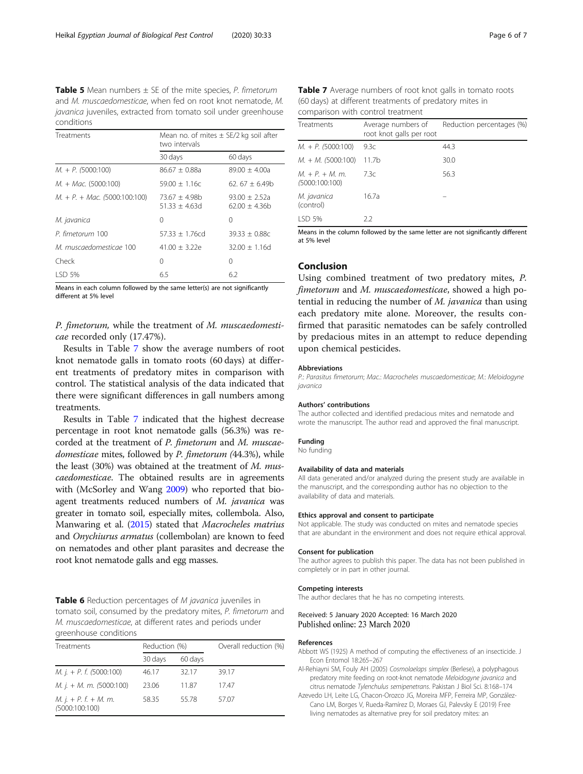<span id="page-5-0"></span>**Table 5** Mean numbers  $\pm$  SE of the mite species, P. fimetorum and M. muscaedomesticae, when fed on root knot nematode, M. javanica juveniles, extracted from tomato soil under greenhouse conditions

| Treatments                                           | Mean no. of mites $\pm$ SE/2 kg soil after<br>two intervals |                                    |  |
|------------------------------------------------------|-------------------------------------------------------------|------------------------------------|--|
|                                                      | 30 days                                                     | 60 days                            |  |
| $M_{\cdot}$ + P. (5000:100)                          | $86.67 + 0.88a$                                             | $89.00 + 4.00a$                    |  |
| $M. + Mac. (5000:100)$                               | $59.00 + 1.16c$                                             | $62.67 + 6.49b$                    |  |
| $M_{\cdot} + P_{\cdot} + Mac_{\cdot}$ (5000:100:100) | $73.67 + 4.98h$<br>$51.33 + 4.63d$                          | $93.00 + 2.52a$<br>$62.00 + 4.36h$ |  |
| M. javanica                                          | 0                                                           | 0                                  |  |
| P. fimetorum 100                                     | $57.33 + 1.76cd$                                            | $39.33 + 0.88c$                    |  |
| M. muscaedomesticae 100                              | $41.00 + 3.22e$                                             | $32.00 + 1.16d$                    |  |
| Check                                                | 0                                                           | 0                                  |  |
| LSD 5%                                               | 6.5                                                         | 6.2                                |  |

Means in each column followed by the same letter(s) are not significantly different at 5% level

P. fimetorum, while the treatment of M. muscaedomesticae recorded only (17.47%).

Results in Table 7 show the average numbers of root knot nematode galls in tomato roots (60 days) at different treatments of predatory mites in comparison with control. The statistical analysis of the data indicated that there were significant differences in gall numbers among treatments.

Results in Table 7 indicated that the highest decrease percentage in root knot nematode galls (56.3%) was recorded at the treatment of P. fimetorum and M. muscaedomesticae mites, followed by P. fimetorum (44.3%), while the least (30%) was obtained at the treatment of  $M$ . muscaedomesticae. The obtained results are in agreements with (McSorley and Wang [2009\)](#page-6-0) who reported that bioagent treatments reduced numbers of M. javanica was greater in tomato soil, especially mites, collembola. Also, Manwaring et al. [\(2015\)](#page-6-0) stated that Macrocheles matrius and Onychiurus armatus (collembolan) are known to feed on nematodes and other plant parasites and decrease the root knot nematode galls and egg masses.

Table 6 Reduction percentages of M javanica juveniles in tomato soil, consumed by the predatory mites, P. fimetorum and M. muscaedomesticae, at different rates and periods under greenhouse conditions

| Treatments                                       | Reduction (%) |         | Overall reduction (%) |
|--------------------------------------------------|---------------|---------|-----------------------|
|                                                  | 30 days       | 60 days |                       |
| M. j. + P. f. (5000:100)                         | 46.17         | 32.17   | 39.17                 |
| M. j. + M. m. $(5000:100)$                       | 23.06         | 11.87   | 1747                  |
| <i>M.</i> $j. + P. f. + M. m.$<br>(5000:100:100) | 58.35         | 55 78   | 57.07                 |

Table 7 Average numbers of root knot galls in tomato roots (60 days) at different treatments of predatory mites in comparison with control treatment

| Treatments                         | Average numbers of<br>root knot galls per root | Reduction percentages (%) |
|------------------------------------|------------------------------------------------|---------------------------|
| $M_{\cdot}$ + P. (5000:100)        | 9.3c                                           | 44.3                      |
| $M_{\cdot} + M_{\cdot}$ (5000:100) | 11.7b                                          | 30.0                      |
| $M + P + M$ , m.<br>(5000:100:100) | 7.3c                                           | 56.3                      |
| M. javanica<br>(control)           | 16.7a                                          |                           |
| LSD 5%                             | $2.2^{\circ}$                                  |                           |

Means in the column followed by the same letter are not significantly different at 5% level

#### Conclusion

Using combined treatment of two predatory mites, P. fimetorum and M. muscaedomesticae, showed a high potential in reducing the number of M. javanica than using each predatory mite alone. Moreover, the results confirmed that parasitic nematodes can be safely controlled by predacious mites in an attempt to reduce depending upon chemical pesticides.

#### Abbreviations

P.: Parasitus fimetorum; Mac.: Macrocheles muscaedomesticae; M.: Meloidogyne javanica

#### Authors' contributions

The author collected and identified predacious mites and nematode and wrote the manuscript. The author read and approved the final manuscript.

## Funding

No funding

#### Availability of data and materials

All data generated and/or analyzed during the present study are available in the manuscript, and the corresponding author has no objection to the availability of data and materials.

#### Ethics approval and consent to participate

Not applicable. The study was conducted on mites and nematode species that are abundant in the environment and does not require ethical approval.

#### Consent for publication

The author agrees to publish this paper. The data has not been published in completely or in part in other journal.

#### Competing interests

The author declares that he has no competing interests.

#### Received: 5 January 2020 Accepted: 16 March 2020 Published online: 23 March 2020

#### References

- Abbott WS (1925) A method of computing the effectiveness of an insecticide. J Econ Entomol 18:265–267
- Al-Rehiayni SM, Fouly AH (2005) Cosmolaelaps simplex (Berlese), a polyphagous predatory mite feeding on root-knot nematode Meloidogyne javanica and citrus nematode Tylenchulus semipenetrans. Pakistan J Biol Sci. 8:168–174
- Azevedo LH, Leite LG, Chacon-Orozco JG, Moreira MFP, Ferreira MP, González-Cano LM, Borges V, Rueda-Ramírez D, Moraes GJ, Palevsky E (2019) Free living nematodes as alternative prey for soil predatory mites: an